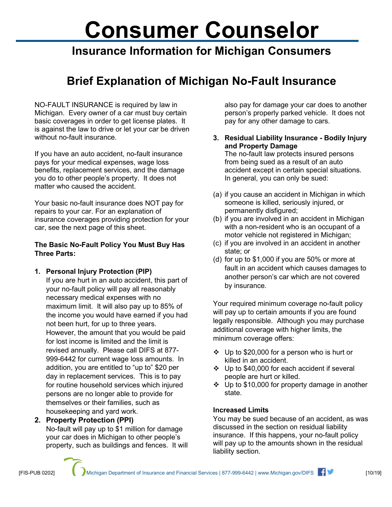# **Consumer Counselor**

### **Insurance Information for Michigan Consumers**

## **Brief Explanation of Michigan No-Fault Insurance**

NO-FAULT INSURANCE is required by law in Michigan. Every owner of a car must buy certain basic coverages in order to get license plates. It is against the law to drive or let your car be driven without no-fault insurance.

If you have an auto accident, no-fault insurance pays for your medical expenses, wage loss benefits, replacement services, and the damage you do to other people's property. It does not matter who caused the accident.

Your basic no-fault insurance does NOT pay for repairs to your car. For an explanation of insurance coverages providing protection for your car, see the next page of this sheet.

#### **The Basic No-Fault Policy You Must Buy Has Three Parts:**

**1. Personal Injury Protection (PIP)**

If you are hurt in an auto accident, this part of your no-fault policy will pay all reasonably necessary medical expenses with no maximum limit. It will also pay up to 85% of the income you would have earned if you had not been hurt, for up to three years. However, the amount that you would be paid for lost income is limited and the limit is revised annually. Please call DIFS at 877- 999-6442 for current wage loss amounts. In addition, you are entitled to "up to" \$20 per day in replacement services. This is to pay for routine household services which injured persons are no longer able to provide for themselves or their families, such as housekeeping and yard work.

property, such as buildings and fences. It will

**2. Property Protection (PPI)** No-fault will pay up to \$1 million for damage your car does in Michigan to other people's

also pay for damage your car does to another person's properly parked vehicle. It does not pay for any other damage to cars.

#### **3. Residual Liability Insurance - Bodily Injury and Property Damage**

The no-fault law protects insured persons from being sued as a result of an auto accident except in certain special situations. In general, you can only be sued:

- (a) if you cause an accident in Michigan in which someone is killed, seriously injured, or permanently disfigured;
- (b) if you are involved in an accident in Michigan with a non-resident who is an occupant of a motor vehicle not registered in Michigan;
- (c) if you are involved in an accident in another state; or
- (d) for up to \$1,000 if you are 50% or more at fault in an accident which causes damages to another person's car which are not covered by insurance.

Your required minimum coverage no-fault policy will pay up to certain amounts if you are found legally responsible. Although you may purchase additional coverage with higher limits, the minimum coverage offers:

- $\cdot \cdot$  Up to \$20,000 for a person who is hurt or killed in an accident.
- ❖ Up to \$40,000 for each accident if several people are hurt or killed.
- $\div$  Up to \$10,000 for property damage in another state.

#### **Increased Limits**

You may be sued because of an accident, as was discussed in the section on residual liability insurance. If this happens, your no-fault policy will pay up to the amounts shown in the residual liability section.

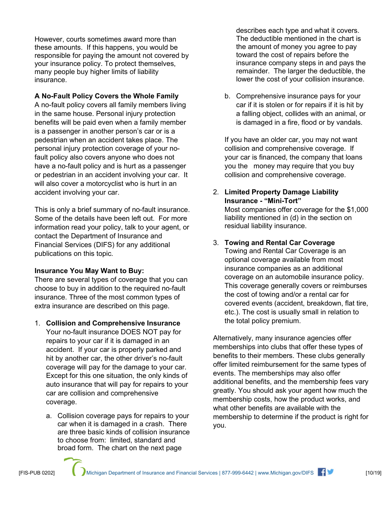However, courts sometimes award more than these amounts. If this happens, you would be responsible for paying the amount not covered by your insurance policy. To protect themselves, many people buy higher limits of liability insurance.

#### **A No-Fault Policy Covers the Whole Family**

A no-fault policy covers all family members living in the same house. Personal injury protection benefits will be paid even when a family member is a passenger in another person's car or is a pedestrian when an accident takes place. The personal injury protection coverage of your nofault policy also covers anyone who does not have a no-fault policy and is hurt as a passenger or pedestrian in an accident involving your car. It will also cover a motorcyclist who is hurt in an accident involving your car.

This is only a brief summary of no-fault insurance. Some of the details have been left out. For more information read your policy, talk to your agent, or contact the Department of Insurance and Financial Services (DIFS) for any additional publications on this topic.

#### **Insurance You May Want to Buy:**

There are several types of coverage that you can choose to buy in addition to the required no-fault insurance. Three of the most common types of extra insurance are described on this page.

- 1. **Collision and Comprehensive Insurance** Your no-fault insurance DOES NOT pay for repairs to your car if it is damaged in an accident. If your car is properly parked and hit by another car, the other driver's no-fault coverage will pay for the damage to your car. Except for this one situation, the only kinds of auto insurance that will pay for repairs to your car are collision and comprehensive coverage.
	- a. Collision coverage pays for repairs to your car when it is damaged in a crash. There are three basic kinds of collision insurance to choose from: limited, standard and broad form. The chart on the next page

describes each type and what it covers. The deductible mentioned in the chart is the amount of money you agree to pay toward the cost of repairs before the insurance company steps in and pays the remainder. The larger the deductible, the lower the cost of your collision insurance.

b. Comprehensive insurance pays for your car if it is stolen or for repairs if it is hit by a falling object, collides with an animal, or is damaged in a fire, flood or by vandals.

If you have an older car, you may not want collision and comprehensive coverage. If your car is financed, the company that loans you the money may require that you buy collision and comprehensive coverage.

2. **Limited Property Damage Liability Insurance - "Mini-Tort"**

Most companies offer coverage for the \$1,000 liability mentioned in (d) in the section on residual liability insurance.

3. **Towing and Rental Car Coverage** Towing and Rental Car Coverage is an optional coverage available from most insurance companies as an additional coverage on an automobile insurance policy. This coverage generally covers or reimburses the cost of towing and/or a rental car for covered events (accident, breakdown, flat tire, etc.). The cost is usually small in relation to the total policy premium.

Alternatively, many insurance agencies offer memberships into clubs that offer these types of benefits to their members. These clubs generally offer limited reimbursement for the same types of events. The memberships may also offer additional benefits, and the membership fees vary greatly. You should ask your agent how much the membership costs, how the product works, and what other benefits are available with the membership to determine if the product is right for you.

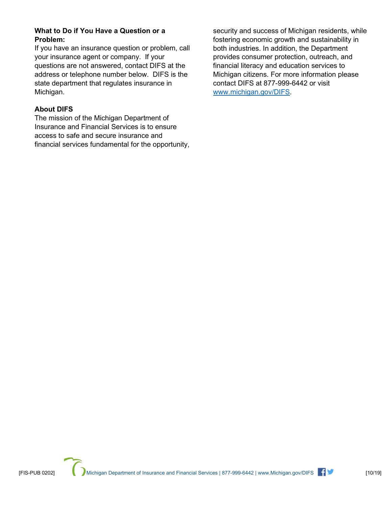#### **What to Do if You Have a Question or a Problem:**

If you have an insurance question or problem, call your insurance agent or company. If your questions are not answered, contact DIFS at the address or telephone number below. DIFS is the state department that regulates insurance in Michigan.

#### **About DIFS**

The mission of the Michigan Department of Insurance and Financial Services is to ensure access to safe and secure insurance and financial services fundamental for the opportunity, security and success of Michigan residents, while fostering economic growth and sustainability in both industries. In addition, the Department provides consumer protection, outreach, and financial literacy and education services to Michigan citizens. For more information please contact DIFS at 877-999-6442 or visit [www.michigan.gov/DIFS.](http://www.michigan.gov/DIFS)